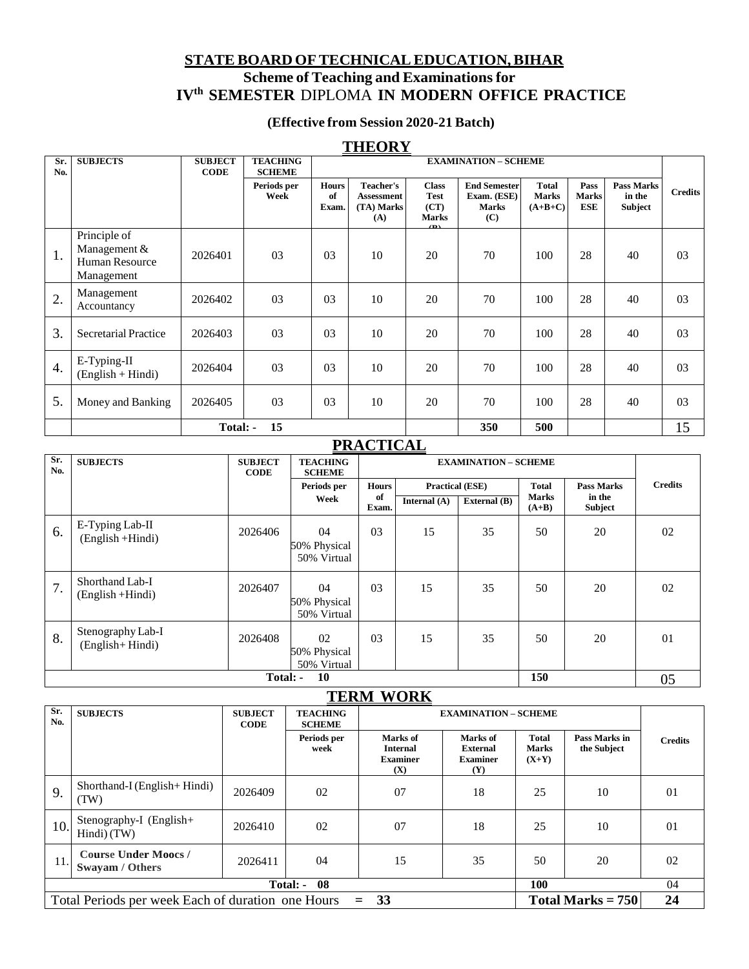## **STATEBOARD OFTECHNICALEDUCATION,BIHAR Scheme of Teaching and Examinationsfor IVth SEMESTER** DIPLOMA **IN MODERN OFFICE PRACTICE**

### **(Effective from Session 2020-21 Batch)**

### **THEORY**

| Sr.<br>No.       | <b>SUBJECTS</b>                                                     | <b>SUBJECT</b><br><b>CODE</b> | <b>TEACHING</b><br><b>SCHEME</b> | <b>EXAMINATION - SCHEME</b> |                                                            |                                                           |                                                           |                                           |                             |                                        |                |
|------------------|---------------------------------------------------------------------|-------------------------------|----------------------------------|-----------------------------|------------------------------------------------------------|-----------------------------------------------------------|-----------------------------------------------------------|-------------------------------------------|-----------------------------|----------------------------------------|----------------|
|                  |                                                                     |                               | Periods per<br>Week              | <b>Hours</b><br>of<br>Exam. | <b>Teacher's</b><br><b>Assessment</b><br>(TA) Marks<br>(A) | <b>Class</b><br><b>Test</b><br>(CT)<br><b>Marks</b><br>Œ١ | <b>End Semester</b><br>Exam. (ESE)<br><b>Marks</b><br>(C) | <b>Total</b><br><b>Marks</b><br>$(A+B+C)$ | Pass<br><b>Marks</b><br>ESE | <b>Pass Marks</b><br>in the<br>Subject | <b>Credits</b> |
| 1.               | Principle of<br>Management &<br><b>Human Resource</b><br>Management | 2026401                       | 03                               | 03                          | 10                                                         | 20                                                        | 70                                                        | 100                                       | 28                          | 40                                     | 0 <sub>3</sub> |
| 2.               | Management<br>Accountancy                                           | 2026402                       | 03                               | 03                          | 10                                                         | 20                                                        | 70                                                        | 100                                       | 28                          | 40                                     | 0 <sub>3</sub> |
| 3.               | <b>Secretarial Practice</b>                                         | 2026403                       | 03                               | 03                          | 10                                                         | 20                                                        | 70                                                        | 100                                       | 28                          | 40                                     | 0 <sub>3</sub> |
| $\overline{4}$ . | E-Typing-II<br>$(English + Hindi)$                                  | 2026404                       | 03                               | 03                          | 10                                                         | 20                                                        | 70                                                        | 100                                       | 28                          | 40                                     | 03             |
| 5.               | Money and Banking                                                   | 2026405                       | 03                               | 03                          | 10                                                         | 20                                                        | 70                                                        | 100                                       | 28                          | 40                                     | 0 <sub>3</sub> |
|                  |                                                                     | Total: -                      | 15                               |                             |                                                            |                                                           | 350                                                       | 500                                       |                             |                                        | 15             |

## **PRACTICAL**

| Sr.<br>No. | <b>SUBJECTS</b>                        | <b>SUBJECT</b><br><b>CODE</b> | <b>TEACHING</b><br><b>SCHEME</b>                   | <b>EXAMINATION - SCHEME</b> |                        |              |                         |                   |    |
|------------|----------------------------------------|-------------------------------|----------------------------------------------------|-----------------------------|------------------------|--------------|-------------------------|-------------------|----|
|            |                                        |                               | Periods per<br><b>Hours</b><br>of<br>Week<br>Exam. |                             | <b>Practical (ESE)</b> |              | <b>Total</b>            | <b>Pass Marks</b> |    |
|            |                                        |                               |                                                    |                             | Internal $(A)$         | External (B) | <b>Marks</b><br>$(A+B)$ | in the<br>Subject |    |
| 6.         | E-Typing Lab-II<br>(English +Hindi)    | 2026406                       | 04<br>50% Physical<br>50% Virtual                  | 03                          | 15                     | 35           | 50                      | 20                | 02 |
| 7.         | Shorthand Lab-I<br>$(English + Hindi)$ | 2026407                       | 04<br>50% Physical<br>50% Virtual                  | 03                          | 15                     | 35           | 50                      | 20                | 02 |
| 8.         | Stenography Lab-I<br>(English+Hindi)   | 2026408                       | 02<br>50% Physical<br>50% Virtual                  | 03                          | 15                     | 35           | 50                      | 20                | 01 |
|            | 150<br>10<br>Total: -                  |                               |                                                    |                             |                        |              |                         | 05                |    |

## **TERM WORK**

| $\cdot$ $\cdot$ $\cdot$ $\cdot$ $\cdot$ $\cdot$                                       |                                                |                               |                                  |                                                       |                                                       |                                  |                              |                |  |
|---------------------------------------------------------------------------------------|------------------------------------------------|-------------------------------|----------------------------------|-------------------------------------------------------|-------------------------------------------------------|----------------------------------|------------------------------|----------------|--|
| Sr.<br>No.                                                                            | <b>SUBJECTS</b>                                | <b>SUBJECT</b><br><b>CODE</b> | <b>TEACHING</b><br><b>SCHEME</b> |                                                       | <b>EXAMINATION - SCHEME</b>                           |                                  |                              |                |  |
|                                                                                       |                                                |                               | Periods per<br>week              | Marks of<br><b>Internal</b><br><b>Examiner</b><br>(X) | Marks of<br><b>External</b><br><b>Examiner</b><br>(Y) | <b>Total</b><br>Marks<br>$(X+Y)$ | Pass Marks in<br>the Subject | <b>Credits</b> |  |
| 9.                                                                                    | Shorthand-I (English+Hindi)<br>(TW)            | 2026409                       | 02                               | 07                                                    | 18                                                    | 25                               | 10                           | 0 <sub>1</sub> |  |
| 10.                                                                                   | Stenography-I (English+<br>Hindi $(TW)$        | 2026410                       | 02                               | 07                                                    | 18                                                    | 25                               | 10                           | 0 <sub>1</sub> |  |
| 11.                                                                                   | <b>Course Under Moocs /</b><br>Swayam / Others | 2026411                       | 04                               | 15                                                    | 35                                                    | 50                               | 20                           | 02             |  |
| 08<br><b>100</b><br>Total: -                                                          |                                                |                               |                                  |                                                       |                                                       |                                  |                              | 04             |  |
| Total Periods per week Each of duration one Hours<br>33<br>Total Marks = $750$<br>$=$ |                                                |                               |                                  |                                                       |                                                       |                                  |                              | 24             |  |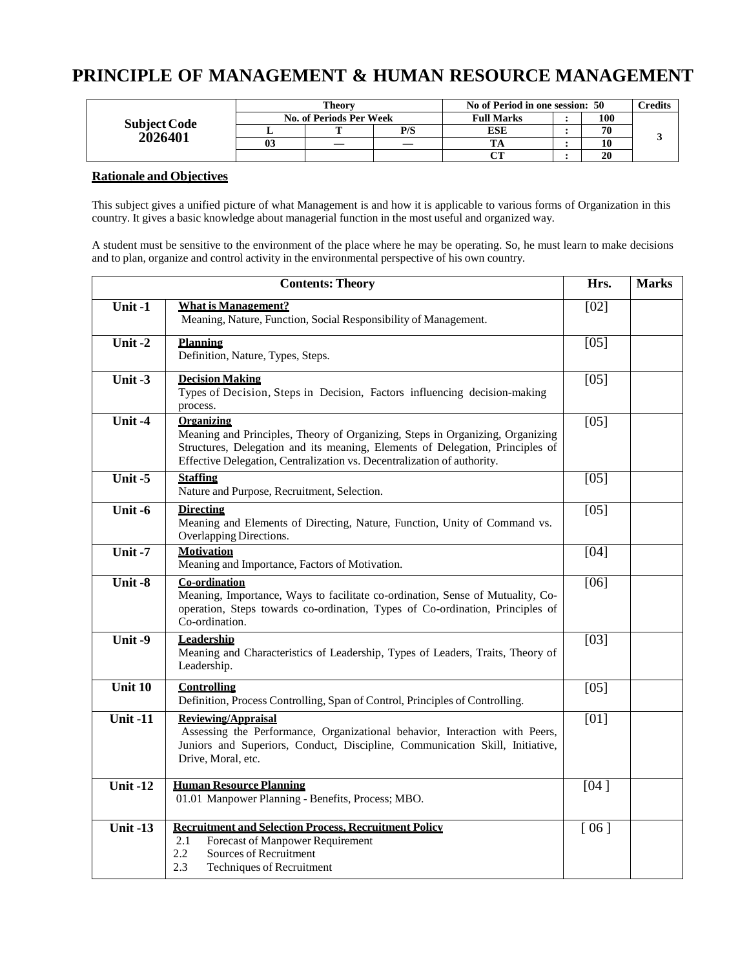# **PRINCIPLE OF MANAGEMENT & HUMAN RESOURCE MANAGEMENT**

|                                 |    | Theorv                  |     | No of Period in one session: 50 | <b>Credits</b> |  |
|---------------------------------|----|-------------------------|-----|---------------------------------|----------------|--|
|                                 |    | No. of Periods Per Week |     | <b>Full Marks</b>               | 100            |  |
| <b>Subject Code<br/>2026401</b> |    |                         | P/S | <b>ESE</b>                      | 70             |  |
|                                 | 03 |                         |     |                                 |                |  |
|                                 |    |                         |     | $\alpha$                        | 20             |  |

#### **Rationale and Objectives**

This subject gives a unified picture of what Management is and how it is applicable to various forms of Organization in this country. It gives a basic knowledge about managerial function in the most useful and organized way.

A student must be sensitive to the environment of the place where he may be operating. So, he must learn to make decisions and to plan, organize and control activity in the environmental perspective of his own country.

|                 | <b>Contents: Theory</b>                                                                                                                                                                                                                                        | Hrs.              | <b>Marks</b> |
|-----------------|----------------------------------------------------------------------------------------------------------------------------------------------------------------------------------------------------------------------------------------------------------------|-------------------|--------------|
| Unit-1          | <b>What is Management?</b><br>Meaning, Nature, Function, Social Responsibility of Management.                                                                                                                                                                  | [02]              |              |
| Unit-2          | <b>Planning</b><br>Definition, Nature, Types, Steps.                                                                                                                                                                                                           | $[05]$            |              |
| Unit -3         | <b>Decision Making</b><br>Types of Decision, Steps in Decision, Factors influencing decision-making<br>process.                                                                                                                                                | [05]              |              |
| Unit -4         | <b>Organizing</b><br>Meaning and Principles, Theory of Organizing, Steps in Organizing, Organizing<br>Structures, Delegation and its meaning, Elements of Delegation, Principles of<br>Effective Delegation, Centralization vs. Decentralization of authority. | $[05]$            |              |
| Unit-5          | <b>Staffing</b><br>Nature and Purpose, Recruitment, Selection.                                                                                                                                                                                                 | $[05]$            |              |
| Unit -6         | <b>Directing</b><br>Meaning and Elements of Directing, Nature, Function, Unity of Command vs.<br>Overlapping Directions.                                                                                                                                       | $[05]$            |              |
| Unit-7          | <b>Motivation</b><br>Meaning and Importance, Factors of Motivation.                                                                                                                                                                                            | [04]              |              |
| Unit-8          | <b>Co-ordination</b><br>Meaning, Importance, Ways to facilitate co-ordination, Sense of Mutuality, Co-<br>operation, Steps towards co-ordination, Types of Co-ordination, Principles of<br>Co-ordination.                                                      | $[06]$            |              |
| Unit-9          | <b>Leadership</b><br>Meaning and Characteristics of Leadership, Types of Leaders, Traits, Theory of<br>Leadership.                                                                                                                                             | $\overline{[03]}$ |              |
| Unit 10         | <b>Controlling</b><br>Definition, Process Controlling, Span of Control, Principles of Controlling.                                                                                                                                                             | [05]              |              |
| <b>Unit-11</b>  | <b>Reviewing/Appraisal</b><br>Assessing the Performance, Organizational behavior, Interaction with Peers,<br>Juniors and Superiors, Conduct, Discipline, Communication Skill, Initiative,<br>Drive, Moral, etc.                                                | [01]              |              |
| <b>Unit-12</b>  | <b>Human Resource Planning</b><br>01.01 Manpower Planning - Benefits, Process; MBO.                                                                                                                                                                            | [04]              |              |
| <b>Unit -13</b> | <b>Recruitment and Selection Process, Recruitment Policy</b><br>Forecast of Manpower Requirement<br>2.1<br>2.2<br>Sources of Recruitment<br>2.3<br><b>Techniques of Recruitment</b>                                                                            | [06]              |              |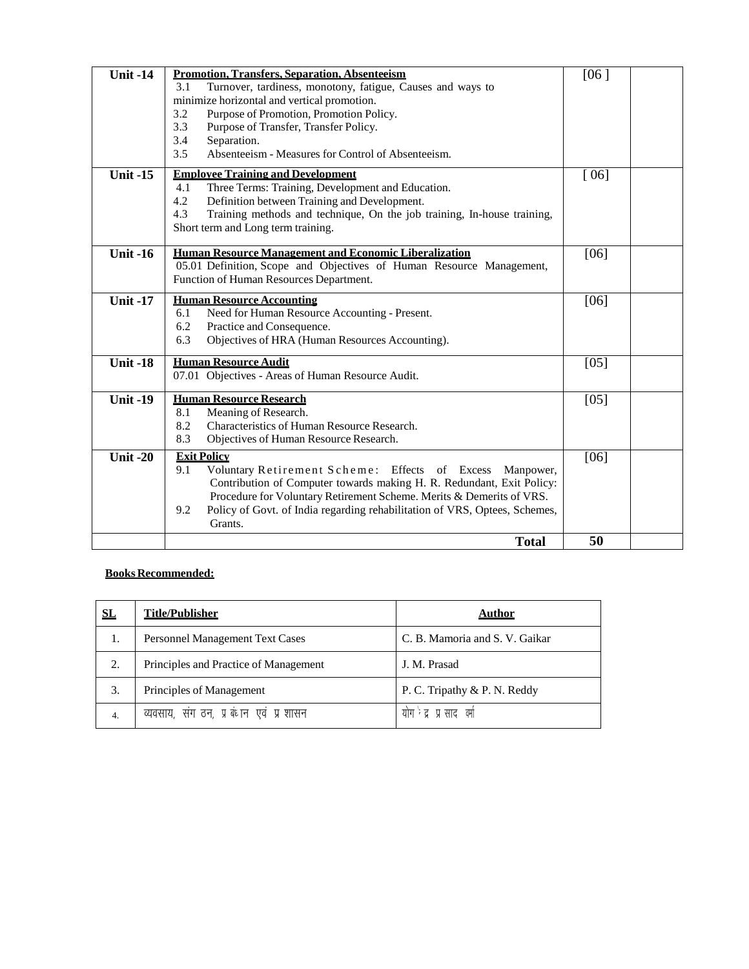| <b>Unit -14</b>               | <b>Promotion, Transfers, Separation, Absenteeism</b><br>3.1<br>Turnover, tardiness, monotony, fatigue, Causes and ways to<br>minimize horizontal and vertical promotion.<br>3.2<br>Purpose of Promotion, Promotion Policy.<br>3.3<br>Purpose of Transfer, Transfer Policy.<br>3.4<br>Separation.<br>3.5<br>Absenteeism - Measures for Control of Absenteeism. | [06] |  |
|-------------------------------|---------------------------------------------------------------------------------------------------------------------------------------------------------------------------------------------------------------------------------------------------------------------------------------------------------------------------------------------------------------|------|--|
| <b>Unit -15</b>               | <b>Employee Training and Development</b><br>Three Terms: Training, Development and Education.<br>4.1<br>4.2<br>Definition between Training and Development.<br>4.3<br>Training methods and technique, On the job training, In-house training,<br>Short term and Long term training.                                                                           | [06] |  |
| <b>Unit -16</b>               | Human Resource Management and Economic Liberalization<br>05.01 Definition, Scope and Objectives of Human Resource Management,<br>Function of Human Resources Department.                                                                                                                                                                                      | [06] |  |
| <b>Unit -17</b>               | <b>Human Resource Accounting</b><br>Need for Human Resource Accounting - Present.<br>6.1<br>Practice and Consequence.<br>6.2<br>Objectives of HRA (Human Resources Accounting).<br>6.3                                                                                                                                                                        | [06] |  |
| <b>Unit -18</b>               | <b>Human Resource Audit</b><br>07.01 Objectives - Areas of Human Resource Audit.                                                                                                                                                                                                                                                                              | [05] |  |
| $\overline{\text{Unit } -19}$ | <b>Human Resource Research</b><br>Meaning of Research.<br>8.1<br>8.2<br>Characteristics of Human Resource Research.<br>8.3<br>Objectives of Human Resource Research.                                                                                                                                                                                          | [05] |  |
| <b>Unit -20</b>               | <b>Exit Policy</b><br>Voluntary Retirement Scheme: Effects of Excess<br>9.1<br>Manpower,<br>Contribution of Computer towards making H. R. Redundant, Exit Policy:<br>Procedure for Voluntary Retirement Scheme. Merits & Demerits of VRS.<br>Policy of Govt. of India regarding rehabilitation of VRS, Optees, Schemes,<br>9.2<br>Grants.                     | [06] |  |
|                               | <b>Total</b>                                                                                                                                                                                                                                                                                                                                                  | 50   |  |

#### **Books Recommended:**

| SL | <b>Title/Publisher</b>                              | Author                         |
|----|-----------------------------------------------------|--------------------------------|
| 1. | <b>Personnel Management Text Cases</b>              | C. B. Mamoria and S. V. Gaikar |
| 2. | Principles and Practice of Management               | J. M. Prasad                   |
| 3. | Principles of Management                            | P. C. Tripathy & P. N. Reddy   |
| 4. | व्यवसाय, संग ठन, प्र <sup>ू</sup> ष्टान एवं प्रशासन | योग है प्रसाद क्यो             |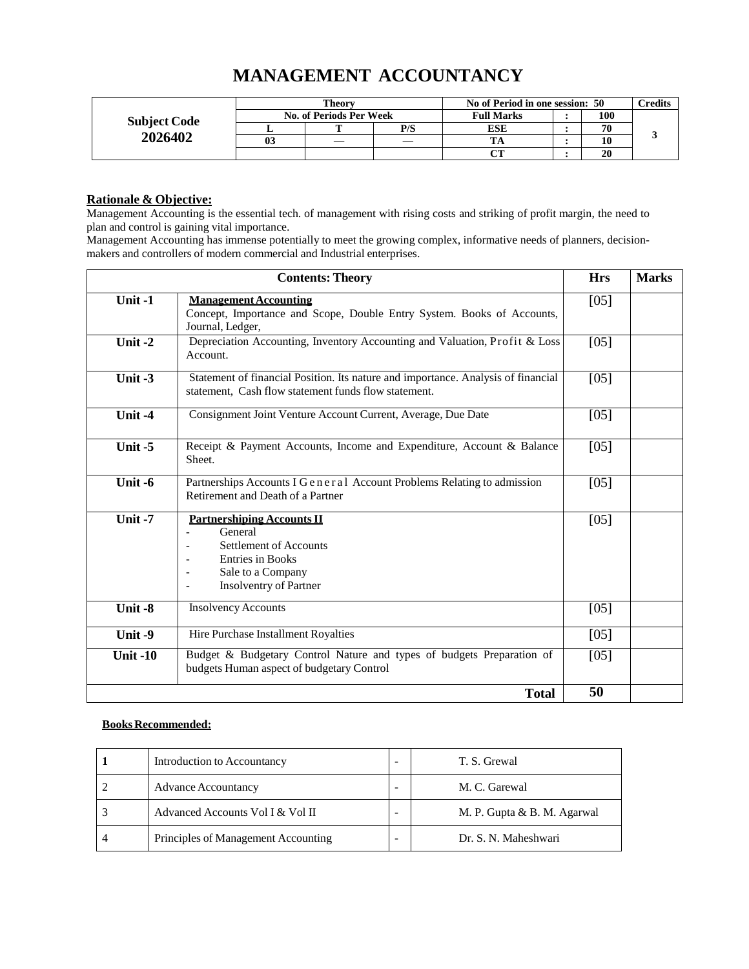# **MANAGEMENT ACCOUNTANCY**

|                     |                | Theory                  |     | No of Period in one session: 50 | $\gamma$ redits |  |
|---------------------|----------------|-------------------------|-----|---------------------------------|-----------------|--|
| <b>Subject Code</b> |                | No. of Periods Per Week |     | <b>Full Marks</b>               | 100             |  |
|                     |                |                         | P/S | <b>ESE</b>                      | 70              |  |
| 2026402             | 0 <sup>3</sup> |                         |     |                                 | 10              |  |
|                     |                |                         |     | $\alpha$                        | 20              |  |

## **Rationale & Objective:**

Management Accounting is the essential tech. of management with rising costs and striking of profit margin, the need to plan and control is gaining vital importance.

Management Accounting has immense potentially to meet the growing complex, informative needs of planners, decisionmakers and controllers of modern commercial and Industrial enterprises.

|                 | <b>Contents: Theory</b>                                                                                                                                        | <b>Hrs</b> | <b>Marks</b> |
|-----------------|----------------------------------------------------------------------------------------------------------------------------------------------------------------|------------|--------------|
| Unit -1         | <b>Management Accounting</b><br>Concept, Importance and Scope, Double Entry System. Books of Accounts,<br>Journal, Ledger,                                     | $[05]$     |              |
| Unit-2          | Depreciation Accounting, Inventory Accounting and Valuation, Profit & Loss<br>Account.                                                                         | $[05]$     |              |
| Unit $-3$       | Statement of financial Position. Its nature and importance. Analysis of financial<br>statement, Cash flow statement funds flow statement.                      | $[05]$     |              |
| Unit -4         | Consignment Joint Venture Account Current, Average, Due Date                                                                                                   | $[05]$     |              |
| Unit $-5$       | Receipt & Payment Accounts, Income and Expenditure, Account & Balance<br>Sheet.                                                                                | $[05]$     |              |
| Unit -6         | Partnerships Accounts I G e n e r a l Account Problems Relating to admission<br>Retirement and Death of a Partner                                              | $[05]$     |              |
| Unit $-7$       | <b>Partnershiping Accounts II</b><br>General<br><b>Settlement of Accounts</b><br><b>Entries in Books</b><br>Sale to a Company<br><b>Insolventry of Partner</b> | $[05]$     |              |
| Unit -8         | <b>Insolvency Accounts</b>                                                                                                                                     | $[05]$     |              |
| Unit -9         | Hire Purchase Installment Royalties                                                                                                                            | $[05]$     |              |
| <b>Unit -10</b> | Budget & Budgetary Control Nature and types of budgets Preparation of<br>budgets Human aspect of budgetary Control                                             | $[05]$     |              |
|                 | <b>Total</b>                                                                                                                                                   | 50         |              |

#### **Books Recommended:**

| Introduction to Accountancy         | T. S. Grewal                |
|-------------------------------------|-----------------------------|
| <b>Advance Accountancy</b>          | M. C. Garewal               |
| Advanced Accounts Vol I & Vol II    | M. P. Gupta & B. M. Agarwal |
| Principles of Management Accounting | Dr. S. N. Maheshwari        |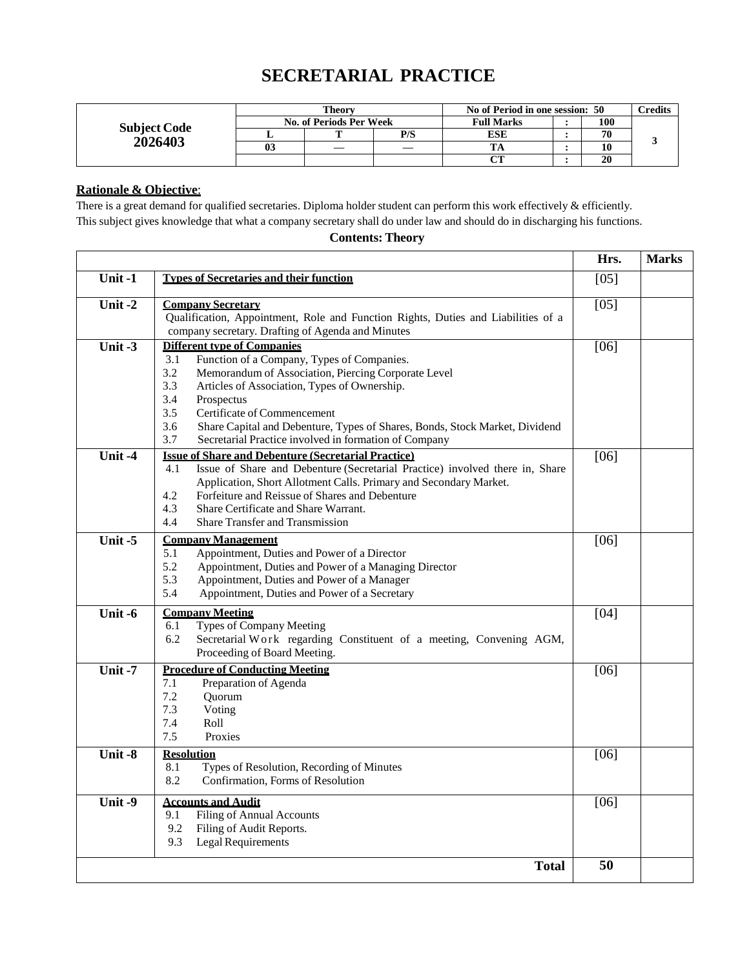## **SECRETARIAL PRACTICE**

|                     |    | Theorv                  |     | No of Period in one session: 50 |  |     | <b>Predits</b> |
|---------------------|----|-------------------------|-----|---------------------------------|--|-----|----------------|
| <b>Subject Code</b> |    | No. of Periods Per Week |     | <b>Full Marks</b>               |  | 100 |                |
|                     |    | m                       | P/S | ESE                             |  | 70  |                |
| 2026403             | 03 |                         |     |                                 |  | 10  |                |
|                     |    |                         |     | $\alpha$ tt                     |  | 20  |                |

#### **Rationale & Objective**:

There is a great demand for qualified secretaries. Diploma holder student can perform this work effectively & efficiently. This subject gives knowledge that what a company secretary shall do under law and should do in discharging his functions.

### **Contents: Theory**

|           |                                                                                                                                                                                                                                                                                                                                                                                                                               | Hrs.   | <b>Marks</b> |
|-----------|-------------------------------------------------------------------------------------------------------------------------------------------------------------------------------------------------------------------------------------------------------------------------------------------------------------------------------------------------------------------------------------------------------------------------------|--------|--------------|
| Unit-1    | <b>Types of Secretaries and their function</b>                                                                                                                                                                                                                                                                                                                                                                                | [05]   |              |
| Unit-2    | <b>Company Secretary</b><br>Qualification, Appointment, Role and Function Rights, Duties and Liabilities of a<br>company secretary. Drafting of Agenda and Minutes                                                                                                                                                                                                                                                            | [05]   |              |
| Unit $-3$ | <b>Different type of Companies</b><br>3.1<br>Function of a Company, Types of Companies.<br>Memorandum of Association, Piercing Corporate Level<br>3.2<br>3.3<br>Articles of Association, Types of Ownership.<br>3.4<br>Prospectus<br>3.5<br>Certificate of Commencement<br>3.6<br>Share Capital and Debenture, Types of Shares, Bonds, Stock Market, Dividend<br>3.7<br>Secretarial Practice involved in formation of Company | [06]   |              |
| Unit -4   | <b>Issue of Share and Debenture (Secretarial Practice)</b><br>Issue of Share and Debenture (Secretarial Practice) involved there in, Share<br>4.1<br>Application, Short Allotment Calls. Primary and Secondary Market.<br>Forfeiture and Reissue of Shares and Debenture<br>4.2<br>Share Certificate and Share Warrant.<br>4.3<br>4.4<br><b>Share Transfer and Transmission</b>                                               | $[06]$ |              |
| Unit -5   | <b>Company Management</b><br>5.1<br>Appointment, Duties and Power of a Director<br>5.2<br>Appointment, Duties and Power of a Managing Director<br>5.3<br>Appointment, Duties and Power of a Manager<br>5.4<br>Appointment, Duties and Power of a Secretary                                                                                                                                                                    | $[06]$ |              |
| Unit -6   | <b>Company Meeting</b><br><b>Types of Company Meeting</b><br>6.1<br>Secretarial Work regarding Constituent of a meeting, Convening AGM,<br>6.2<br>Proceeding of Board Meeting.                                                                                                                                                                                                                                                | [04]   |              |
| Unit $-7$ | <b>Procedure of Conducting Meeting</b><br>Preparation of Agenda<br>7.1<br>7.2<br>Quorum<br>7.3<br>Voting<br>7.4<br>Roll<br>7.5<br>Proxies                                                                                                                                                                                                                                                                                     | [06]   |              |
| Unit -8   | <b>Resolution</b><br>8.1<br>Types of Resolution, Recording of Minutes<br>8.2<br>Confirmation, Forms of Resolution                                                                                                                                                                                                                                                                                                             | $[06]$ |              |
| Unit-9    | <b>Accounts and Audit</b><br><b>Filing of Annual Accounts</b><br>9.1<br>9.2<br>Filing of Audit Reports.<br>9.3<br>Legal Requirements                                                                                                                                                                                                                                                                                          | $[06]$ |              |
|           | <b>Total</b>                                                                                                                                                                                                                                                                                                                                                                                                                  | 50     |              |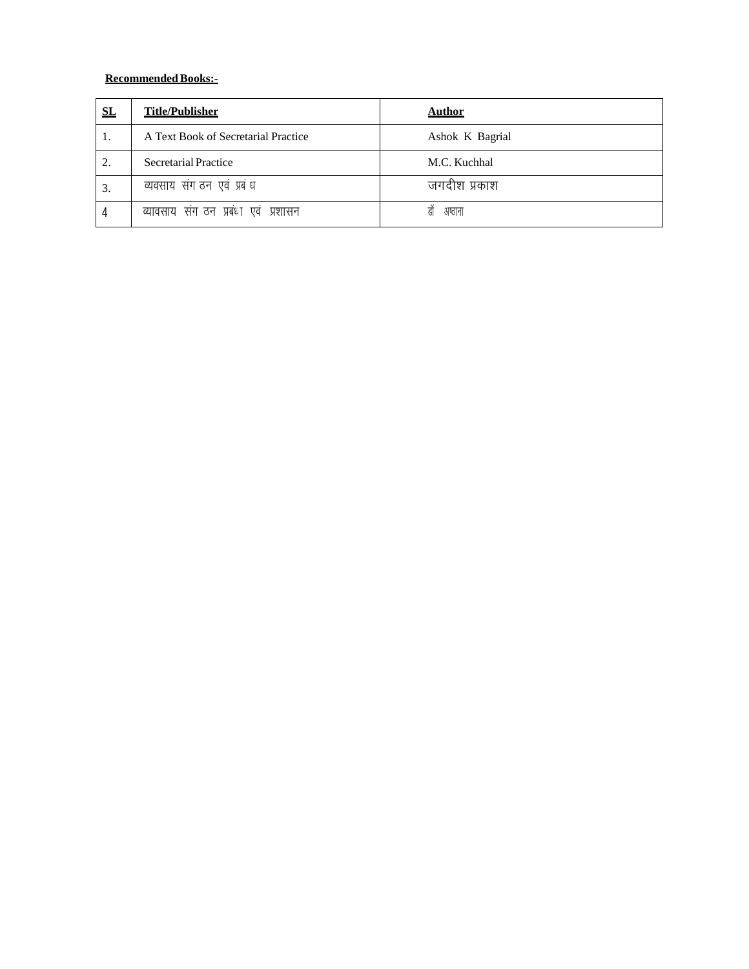| SL       | <b>Title/Publisher</b>                 | <b>Author</b>   |
|----------|----------------------------------------|-----------------|
| 1.       | A Text Book of Secretarial Practice    | Ashok K Bagrial |
| $\gamma$ | <b>Secretarial Practice</b>            | M.C. Kuchhal    |
| 3.       | व्यवसाय संग ठन एवं प्रबंध              | जगदीश प्रकाश    |
|          | व्यावसाय संग ठन प्रबंधा एवं<br>प्रशासन | ह्य<br>अष्ठाना  |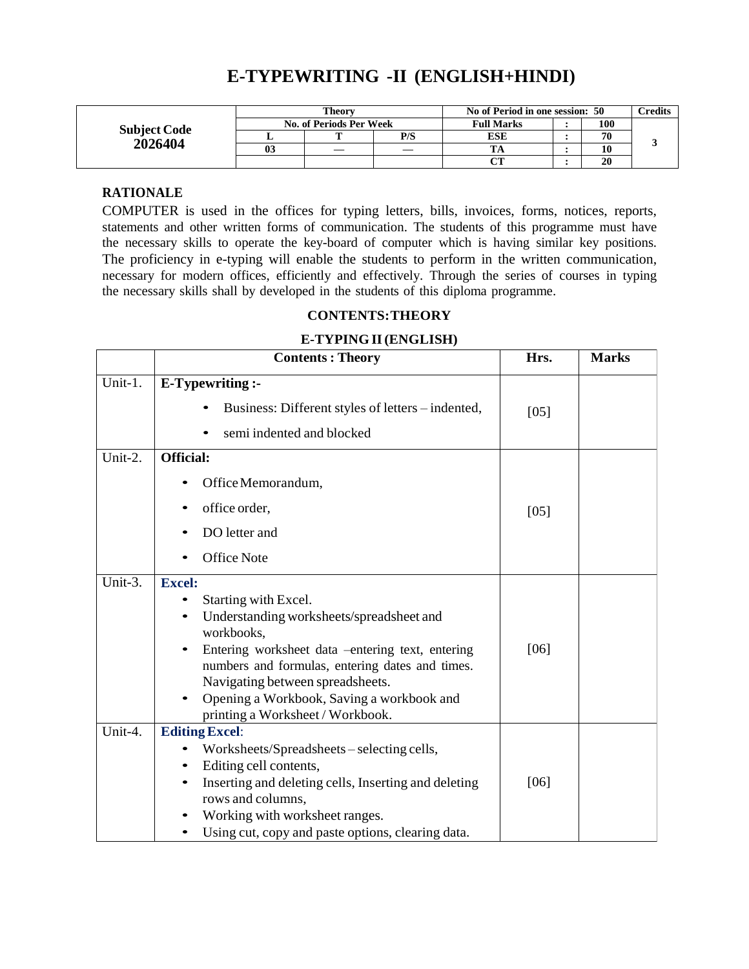## **E-TYPEWRITING -II (ENGLISH+HINDI)**

|                     | Theory                  |  |     | No of Period in one session: 50 | $\gamma$ redits |  |
|---------------------|-------------------------|--|-----|---------------------------------|-----------------|--|
| <b>Subject Code</b> | No. of Periods Per Week |  |     | <b>Full Marks</b>               | 100             |  |
| 2026404             |                         |  | P/S | <b>ESE</b>                      | 70              |  |
|                     | 03                      |  |     |                                 | 10              |  |
|                     |                         |  |     | $\alpha$ tt                     | 20              |  |

### **RATIONALE**

COMPUTER is used in the offices for typing letters, bills, invoices, forms, notices, reports, statements and other written forms of communication. The students of this programme must have the necessary skills to operate the key-board of computer which is having similar key positions. The proficiency in e-typing will enable the students to perform in the written communication, necessary for modern offices, efficiently and effectively. Through the series of courses in typing the necessary skills shall by developed in the students of this diploma programme.

#### **CONTENTS:THEORY**

#### **E-TYPING II(ENGLISH)**

|         | <b>Contents: Theory</b>                                                             | Hrs.   | <b>Marks</b> |
|---------|-------------------------------------------------------------------------------------|--------|--------------|
| Unit-1. | E-Typewriting :-                                                                    |        |              |
|         | Business: Different styles of letters – indented,                                   | $[05]$ |              |
|         | semi indented and blocked                                                           |        |              |
| Unit-2. | <b>Official:</b>                                                                    |        |              |
|         | Office Memorandum,                                                                  |        |              |
|         | office order,                                                                       | $[05]$ |              |
|         | DO letter and                                                                       |        |              |
|         | <b>Office Note</b>                                                                  |        |              |
| Unit-3. | <b>Excel:</b>                                                                       |        |              |
|         | Starting with Excel.                                                                |        |              |
|         | Understanding worksheets/spreadsheet and<br>workbooks.                              |        |              |
|         | Entering worksheet data -entering text, entering                                    | [06]   |              |
|         | numbers and formulas, entering dates and times.                                     |        |              |
|         | Navigating between spreadsheets.<br>Opening a Workbook, Saving a workbook and       |        |              |
|         | printing a Worksheet / Workbook.                                                    |        |              |
| Unit-4. | <b>Editing Excel:</b>                                                               |        |              |
|         | Worksheets/Spreadsheets – selecting cells,                                          |        |              |
|         | Editing cell contents,<br>$\bullet$                                                 |        |              |
|         | Inserting and deleting cells, Inserting and deleting                                | [06]   |              |
|         | rows and columns,                                                                   |        |              |
|         |                                                                                     |        |              |
|         | Working with worksheet ranges.<br>Using cut, copy and paste options, clearing data. |        |              |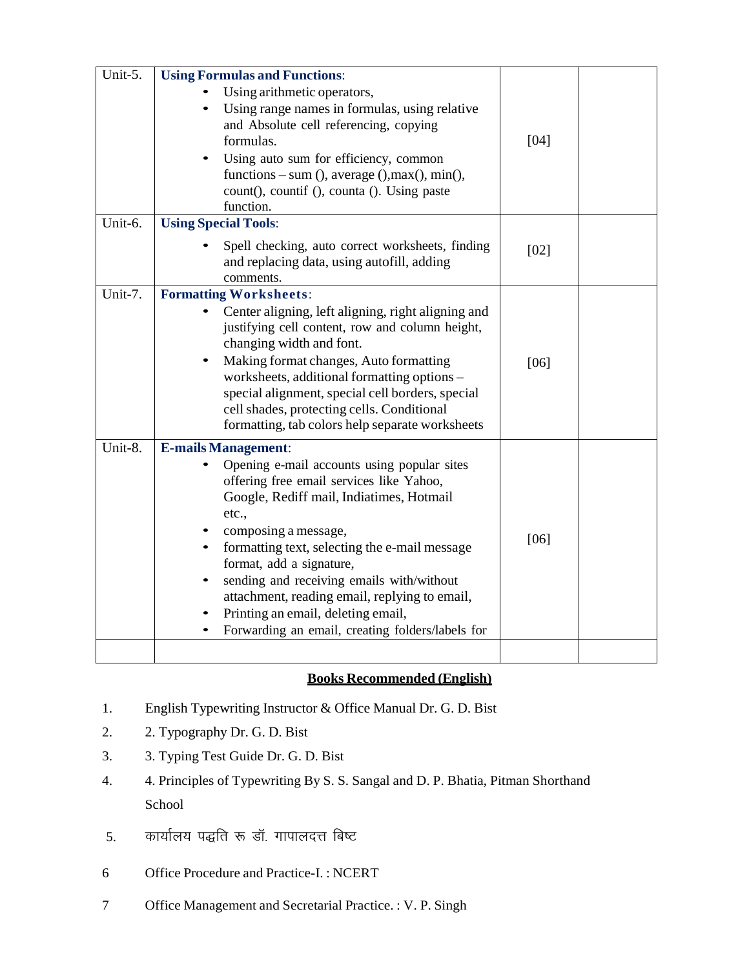| Unit-5. | <b>Using Formulas and Functions:</b>                                                                                                                                                                                                                                                                                                                                                                                                      |        |  |
|---------|-------------------------------------------------------------------------------------------------------------------------------------------------------------------------------------------------------------------------------------------------------------------------------------------------------------------------------------------------------------------------------------------------------------------------------------------|--------|--|
|         | Using arithmetic operators,<br>Using range names in formulas, using relative<br>and Absolute cell referencing, copying<br>formulas.<br>Using auto sum for efficiency, common<br>functions – sum (), average (), max(), min(),<br>count(), countif (), counta (). Using paste<br>function.                                                                                                                                                 | $[04]$ |  |
| Unit-6. | <b>Using Special Tools:</b>                                                                                                                                                                                                                                                                                                                                                                                                               |        |  |
|         | Spell checking, auto correct worksheets, finding<br>and replacing data, using autofill, adding<br>comments.                                                                                                                                                                                                                                                                                                                               | [02]   |  |
| Unit-7. | <b>Formatting Worksheets:</b>                                                                                                                                                                                                                                                                                                                                                                                                             |        |  |
|         | Center aligning, left aligning, right aligning and<br>justifying cell content, row and column height,<br>changing width and font.<br>Making format changes, Auto formatting<br>worksheets, additional formatting options -<br>special alignment, special cell borders, special<br>cell shades, protecting cells. Conditional<br>formatting, tab colors help separate worksheets                                                           | [06]   |  |
| Unit-8. | <b>E-mails Management:</b>                                                                                                                                                                                                                                                                                                                                                                                                                |        |  |
|         | Opening e-mail accounts using popular sites<br>offering free email services like Yahoo,<br>Google, Rediff mail, Indiatimes, Hotmail<br>etc.,<br>composing a message,<br>formatting text, selecting the e-mail message<br>format, add a signature,<br>sending and receiving emails with/without<br>attachment, reading email, replying to email,<br>Printing an email, deleting email,<br>Forwarding an email, creating folders/labels for | $[06]$ |  |
|         |                                                                                                                                                                                                                                                                                                                                                                                                                                           |        |  |

## **Books Recommended (English)**

- 1. English Typewriting Instructor & Office Manual Dr. G. D. Bist
- 2. 2. Typography Dr. G. D. Bist
- 3. 3. Typing Test Guide Dr. G. D. Bist
- 4. 4. Principles of Typewriting By S. S. Sangal and D. P. Bhatia, Pitman Shorthand School
- 5. कार्यालय पद्धति रू डॉ. गापालदत्त बिष्ट
- 6 Office Procedure and Practice-I. : NCERT
- 7 Office Management and Secretarial Practice. : V. P. Singh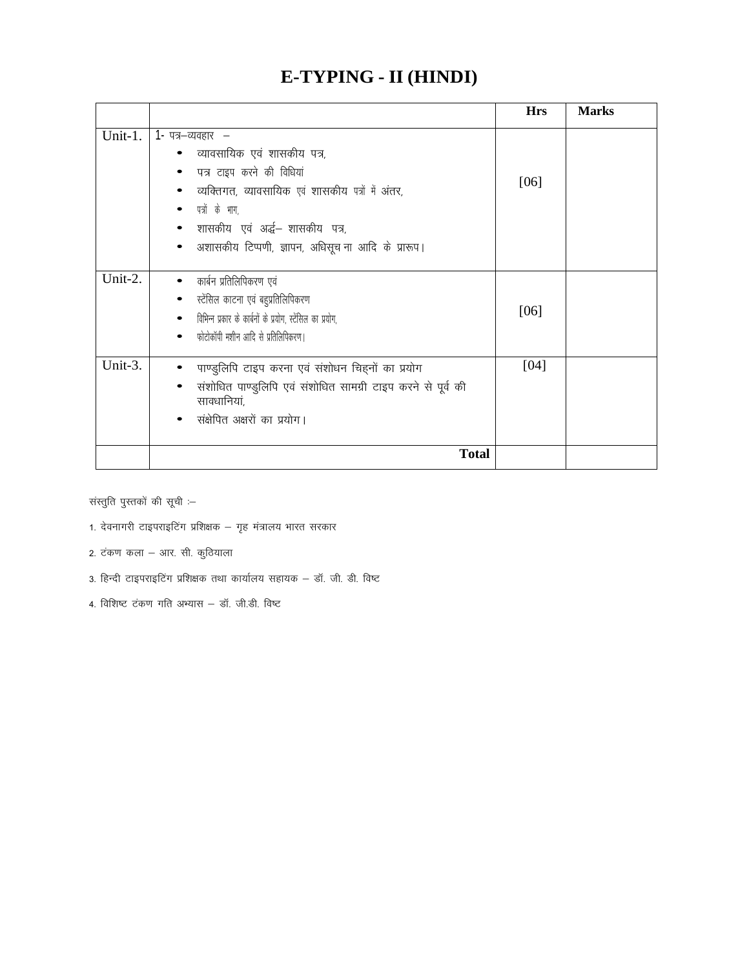# **E-TYPING - II (HINDI)**

|         |                                                                             | <b>Hrs</b> | <b>Marks</b> |
|---------|-----------------------------------------------------------------------------|------------|--------------|
| Unit-1. | 1- पत्र–व्यवहार  –                                                          |            |              |
|         | व्यावसायिक एवं शासकीय पत्र,                                                 |            |              |
|         | पत्र टाइप करने की विधियां                                                   |            |              |
|         | व्यक्तिगत, व्यावसायिक एवं शासकीय पत्रों में अंतर,                           | [06]       |              |
|         | पत्रों के भाग,                                                              |            |              |
|         | • शासकीय एवं अर्द्ध– शासकीय पत्र,                                           |            |              |
|         | अशासकीय टिप्पणी, ज्ञापन, अधिसूच ना आदि के प्रारूप।<br>$\bullet$             |            |              |
|         |                                                                             |            |              |
| Unit-2. | कार्बन प्रतिलिपिकरण एवं<br>$\bullet$                                        |            |              |
|         | स्टेंसिल काटना एवं बहुप्रतिलिपिकरण<br>$\bullet$                             |            |              |
|         | • विभिन्न प्रकार के कार्बनों के प्रयोग, स्टेंसिल का प्रयोग,                 | [06]       |              |
|         | फोटोकॉपी मशीन आदि से प्रतिलिपिकरण।<br>٠                                     |            |              |
| Unit-3. | पाण्डुलिपि टाइप करना एवं संशोधन चिहनों का प्रयोग                            | [04]       |              |
|         | संशोधित पाण्डुलिपि एवं संशोधित सामग्री टाइप करने से पूर्व की<br>सावधानियां, |            |              |
|         | संक्षेपित अक्षरों का प्रयोग।                                                |            |              |
|         | <b>Total</b>                                                                |            |              |

संस्तुति पुस्तकों की सूची  $-$ 

- 1. देवनागरी टाइपराइटिंग प्रशिक्षक गृह मंत्रालय भारत सरकार
- 2. टंकण कला आर. सी. कुठियाला
- 3. हिन्दी टाइपराइटिंग प्रशिक्षक तथा कार्यालय सहायक डॉ. जी. डी. विष्ट
- $4.$  विशिष्ट टंकण गति अभ्यास डॉ. जी.डी. विष्ट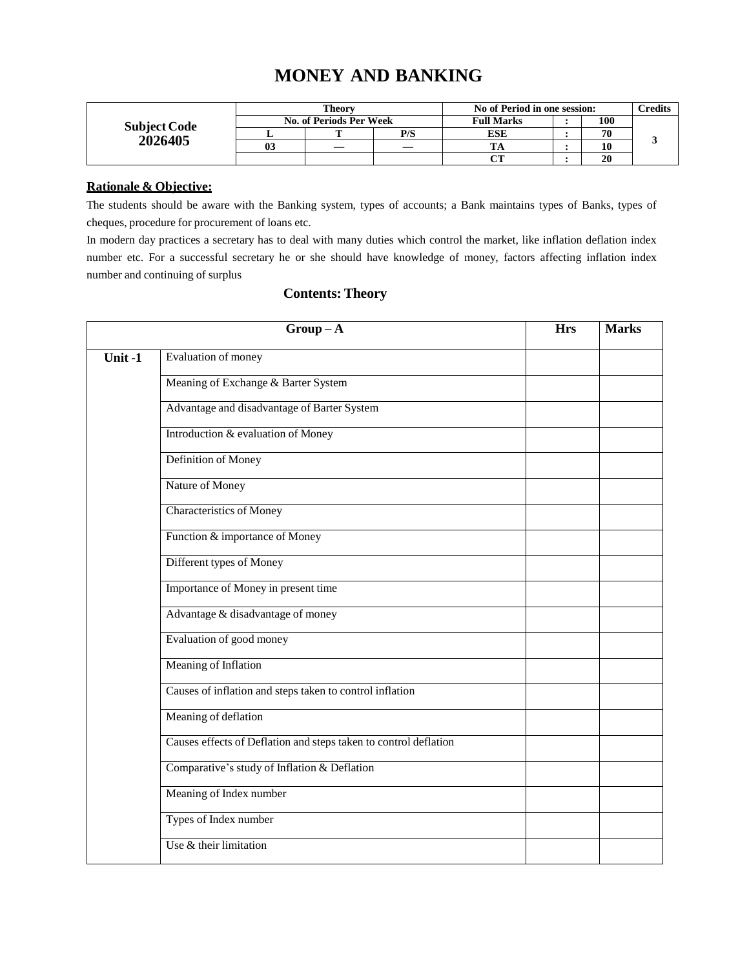## **MONEY AND BANKING**

|                     | <b>Theory</b>           |  |     | No of Period in one session: | <b>Tredits</b> |  |
|---------------------|-------------------------|--|-----|------------------------------|----------------|--|
| <b>Subject Code</b> | No. of Periods Per Week |  |     | <b>Full Marks</b>            | 100            |  |
| 2026405             |                         |  | P/S | <b>ESE</b>                   | 70             |  |
|                     | 03                      |  |     | ĽА                           | 10             |  |
|                     |                         |  |     | $\alpha$                     | 20             |  |

#### **Rationale & Objective:**

The students should be aware with the Banking system, types of accounts; a Bank maintains types of Banks, types of cheques, procedure for procurement of loans etc.

In modern day practices a secretary has to deal with many duties which control the market, like inflation deflation index number etc. For a successful secretary he or she should have knowledge of money, factors affecting inflation index number and continuing of surplus

|        | $Group-A$                                                        | <b>Hrs</b> | <b>Marks</b> |
|--------|------------------------------------------------------------------|------------|--------------|
| Unit-1 | Evaluation of money                                              |            |              |
|        | Meaning of Exchange & Barter System                              |            |              |
|        | Advantage and disadvantage of Barter System                      |            |              |
|        | Introduction & evaluation of Money                               |            |              |
|        | Definition of Money                                              |            |              |
|        | Nature of Money                                                  |            |              |
|        | <b>Characteristics of Money</b>                                  |            |              |
|        | Function & importance of Money                                   |            |              |
|        | Different types of Money                                         |            |              |
|        | Importance of Money in present time                              |            |              |
|        | Advantage & disadvantage of money                                |            |              |
|        | Evaluation of good money                                         |            |              |
|        | Meaning of Inflation                                             |            |              |
|        | Causes of inflation and steps taken to control inflation         |            |              |
|        | Meaning of deflation                                             |            |              |
|        | Causes effects of Deflation and steps taken to control deflation |            |              |
|        | Comparative's study of Inflation & Deflation                     |            |              |
|        | Meaning of Index number                                          |            |              |
|        | Types of Index number                                            |            |              |
|        | Use & their limitation                                           |            |              |

## **Contents: Theory**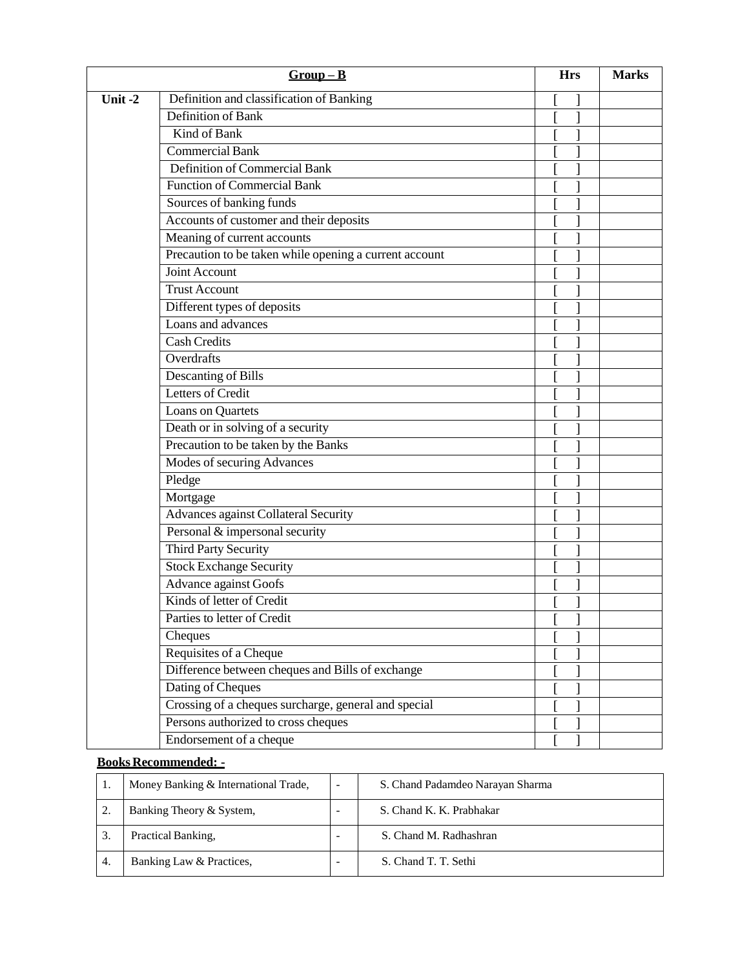|        | $Group-B$                                              | <b>Hrs</b> | <b>Marks</b> |
|--------|--------------------------------------------------------|------------|--------------|
| Unit-2 | Definition and classification of Banking               |            |              |
|        | Definition of Bank                                     |            |              |
|        | Kind of Bank                                           |            |              |
|        | <b>Commercial Bank</b>                                 |            |              |
|        | Definition of Commercial Bank                          |            |              |
|        | <b>Function of Commercial Bank</b>                     |            |              |
|        | Sources of banking funds                               |            |              |
|        | Accounts of customer and their deposits                |            |              |
|        | Meaning of current accounts                            |            |              |
|        | Precaution to be taken while opening a current account |            |              |
|        | Joint Account                                          |            |              |
|        | <b>Trust Account</b>                                   |            |              |
|        | Different types of deposits                            |            |              |
|        | Loans and advances                                     |            |              |
|        | <b>Cash Credits</b>                                    |            |              |
|        | Overdrafts                                             |            |              |
|        | Descanting of Bills                                    |            |              |
|        | Letters of Credit                                      |            |              |
|        | Loans on Quartets                                      |            |              |
|        | Death or in solving of a security                      |            |              |
|        | Precaution to be taken by the Banks                    |            |              |
|        | Modes of securing Advances                             |            |              |
|        | Pledge                                                 |            |              |
|        | Mortgage                                               |            |              |
|        | <b>Advances against Collateral Security</b>            |            |              |
|        | Personal & impersonal security                         |            |              |
|        | <b>Third Party Security</b>                            |            |              |
|        | <b>Stock Exchange Security</b>                         |            |              |
|        | <b>Advance against Goofs</b>                           |            |              |
|        | Kinds of letter of Credit                              |            |              |
|        | Parties to letter of Credit                            |            |              |
|        | Cheques                                                |            |              |
|        | Requisites of a Cheque                                 |            |              |
|        | Difference between cheques and Bills of exchange       |            |              |
|        | Dating of Cheques                                      |            |              |
|        | Crossing of a cheques surcharge, general and special   |            |              |
|        | Persons authorized to cross cheques                    |            |              |
|        | Endorsement of a cheque                                |            |              |

## **Books Recommended: -**

|    | Money Banking & International Trade, | - | S. Chand Padamdeo Narayan Sharma |
|----|--------------------------------------|---|----------------------------------|
|    | Banking Theory & System,             |   | S. Chand K. K. Prabhakar         |
|    | Practical Banking,                   |   | S. Chand M. Radhashran           |
| 4. | Banking Law & Practices.             |   | S. Chand T. T. Sethi             |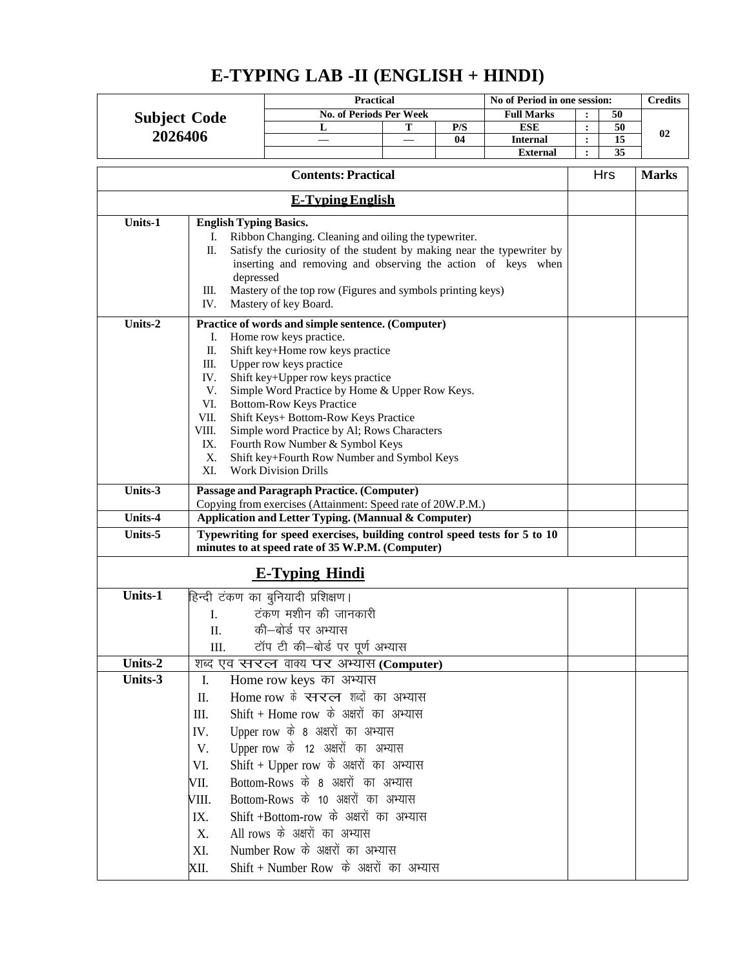|                     |                                              | <b>Practical</b>                                                                                                 |   |     | No of Period in one session:       |                                        |            | <b>Credits</b> |
|---------------------|----------------------------------------------|------------------------------------------------------------------------------------------------------------------|---|-----|------------------------------------|----------------------------------------|------------|----------------|
| <b>Subject Code</b> |                                              | <b>No. of Periods Per Week</b>                                                                                   |   |     | <b>Full Marks</b>                  |                                        | 50         |                |
| 2026406             |                                              | L                                                                                                                | т | P/S | <b>ESE</b>                         | $\ddot{\cdot}$                         | 50         | 02             |
|                     |                                              |                                                                                                                  |   | 04  | <b>Internal</b><br><b>External</b> | $\ddot{\phantom{a}}$<br>$\ddot{\cdot}$ | 15<br>35   |                |
|                     |                                              |                                                                                                                  |   |     |                                    |                                        |            |                |
|                     |                                              | <b>Contents: Practical</b>                                                                                       |   |     |                                    |                                        | <b>Hrs</b> | <b>Marks</b>   |
|                     | <b>E-Typing English</b>                      |                                                                                                                  |   |     |                                    |                                        |            |                |
| Units-1             | <b>English Typing Basics.</b>                |                                                                                                                  |   |     |                                    |                                        |            |                |
|                     | I.                                           | Ribbon Changing. Cleaning and oiling the typewriter.                                                             |   |     |                                    |                                        |            |                |
|                     | П.                                           | Satisfy the curiosity of the student by making near the typewriter by                                            |   |     |                                    |                                        |            |                |
|                     |                                              | inserting and removing and observing the action of keys when                                                     |   |     |                                    |                                        |            |                |
|                     | depressed                                    |                                                                                                                  |   |     |                                    |                                        |            |                |
|                     | Ш.<br>IV.                                    | Mastery of the top row (Figures and symbols printing keys)<br>Mastery of key Board.                              |   |     |                                    |                                        |            |                |
| Units-2             |                                              |                                                                                                                  |   |     |                                    |                                        |            |                |
|                     | I.                                           | Practice of words and simple sentence. (Computer)<br>Home row keys practice.                                     |   |     |                                    |                                        |            |                |
|                     | Π.                                           | Shift key+Home row keys practice                                                                                 |   |     |                                    |                                        |            |                |
|                     | Ш.                                           | Upper row keys practice                                                                                          |   |     |                                    |                                        |            |                |
|                     | IV.                                          | Shift key+Upper row keys practice                                                                                |   |     |                                    |                                        |            |                |
|                     | V.<br>VI.                                    | Simple Word Practice by Home & Upper Row Keys.<br><b>Bottom-Row Keys Practice</b>                                |   |     |                                    |                                        |            |                |
|                     | VII.                                         | Shift Keys+ Bottom-Row Keys Practice                                                                             |   |     |                                    |                                        |            |                |
|                     | VIII.                                        | Simple word Practice by Al; Rows Characters                                                                      |   |     |                                    |                                        |            |                |
|                     | IX.                                          | Fourth Row Number & Symbol Keys                                                                                  |   |     |                                    |                                        |            |                |
|                     | Х.                                           | Shift key+Fourth Row Number and Symbol Keys<br><b>Work Division Drills</b>                                       |   |     |                                    |                                        |            |                |
|                     | XI.                                          |                                                                                                                  |   |     |                                    |                                        |            |                |
| Units-3             |                                              | <b>Passage and Paragraph Practice. (Computer)</b><br>Copying from exercises (Attainment: Speed rate of 20W.P.M.) |   |     |                                    |                                        |            |                |
| Units-4             |                                              | Application and Letter Typing. (Mannual & Computer)                                                              |   |     |                                    |                                        |            |                |
| Units-5             |                                              | Typewriting for speed exercises, building control speed tests for 5 to 10                                        |   |     |                                    |                                        |            |                |
|                     |                                              | minutes to at speed rate of 35 W.P.M. (Computer)                                                                 |   |     |                                    |                                        |            |                |
|                     |                                              | <b>E-Typing Hindi</b>                                                                                            |   |     |                                    |                                        |            |                |
| Units-1             |                                              | हिन्दी टंकण का बुनियादी प्रशिक्षण।                                                                               |   |     |                                    |                                        |            |                |
|                     | I.                                           | टंकण मशीन की जानकारी                                                                                             |   |     |                                    |                                        |            |                |
|                     | II.                                          | की-बोर्ड पर अभ्यास                                                                                               |   |     |                                    |                                        |            |                |
|                     | III.                                         | टॉप टी की-बोर्ड पर पूर्ण अभ्यास                                                                                  |   |     |                                    |                                        |            |                |
| Units-2             |                                              | शब्द एव सरल वाक्य पर अभ्यास (Computer)                                                                           |   |     |                                    |                                        |            |                |
| Units-3             | Ι.                                           | Home row keys का अभ्यास                                                                                          |   |     |                                    |                                        |            |                |
|                     | Π.                                           | Home row के स्नरत्न शब्दों का अभ्यास                                                                             |   |     |                                    |                                        |            |                |
|                     | III.                                         | Shift + Home row के अक्षरों का अभ्यास                                                                            |   |     |                                    |                                        |            |                |
|                     | IV.                                          | Upper row के 8 अक्षरों का अभ्यास                                                                                 |   |     |                                    |                                        |            |                |
|                     | V.                                           | Upper row के 12 अक्षरों का अभ्यास                                                                                |   |     |                                    |                                        |            |                |
|                     | VI.                                          | Shift + Upper row के अक्षरों का अभ्यास                                                                           |   |     |                                    |                                        |            |                |
|                     | Bottom-Rows के 8 अक्षरों का अभ्यास<br>VII.   |                                                                                                                  |   |     |                                    |                                        |            |                |
|                     | Bottom-Rows के 10 अक्षरों का अभ्यास<br>VIII. |                                                                                                                  |   |     |                                    |                                        |            |                |
|                     | IX.                                          | Shift +Bottom-row के अक्षरों का अभ्यास                                                                           |   |     |                                    |                                        |            |                |
|                     | X.                                           | All rows के अक्षरों का अभ्यास                                                                                    |   |     |                                    |                                        |            |                |
|                     | XI.                                          | Number Row के अक्षरों का अभ्यास                                                                                  |   |     |                                    |                                        |            |                |
|                     | XII.                                         | Shift + Number Row के अक्षरों का अभ्यास                                                                          |   |     |                                    |                                        |            |                |

# **E-TYPING LAB -II (ENGLISH + HINDI)**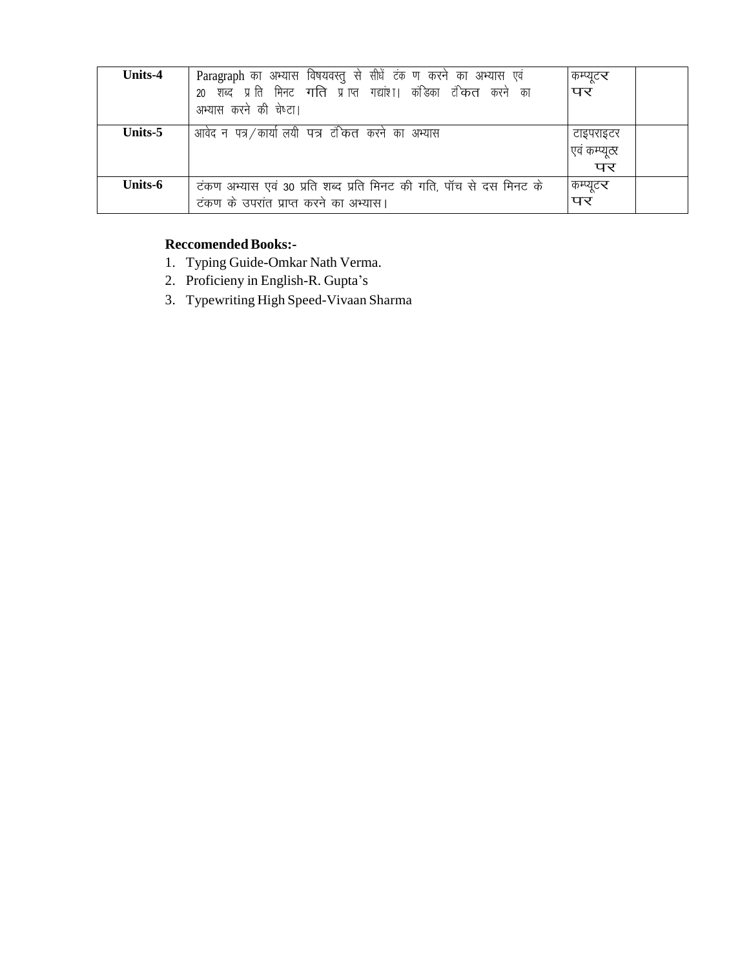| Units-4 | Paragraph का अभ्यास विषयवस्तु से सीधें टंक ण करने का अभ्यास एवं<br>शब्द प्राति मिनट गति प्राप्त गद्यांश। कंडिका टंकित करने का<br>20<br>अभ्यास करने की चेष्टा। | कम्प्यूट <b>र</b><br>पर |
|---------|---------------------------------------------------------------------------------------------------------------------------------------------------------------|-------------------------|
| Units-5 | आवेद न पत्र/कार्या लयी पत्र टंकित करने का अभ्यास                                                                                                              | टाइपराइटर               |
|         |                                                                                                                                                               | ाएवं कम्प्यूटर          |
|         |                                                                                                                                                               | पर                      |
| Units-6 | टंकण अभ्यास एवं 30 प्रति शब्द प्रति मिनट की गति, पॉच से दस मिनट के                                                                                            | कम्प्यूटर               |
|         | टंकण के उपरांत प्राप्त करने का अभ्यास।                                                                                                                        | पर                      |

## **Reccomended Books:-**

- 1. Typing Guide-Omkar Nath Verma.
- 2. Proficieny in English-R. Gupta's
- 3. Typewriting High Speed-Vivaan Sharma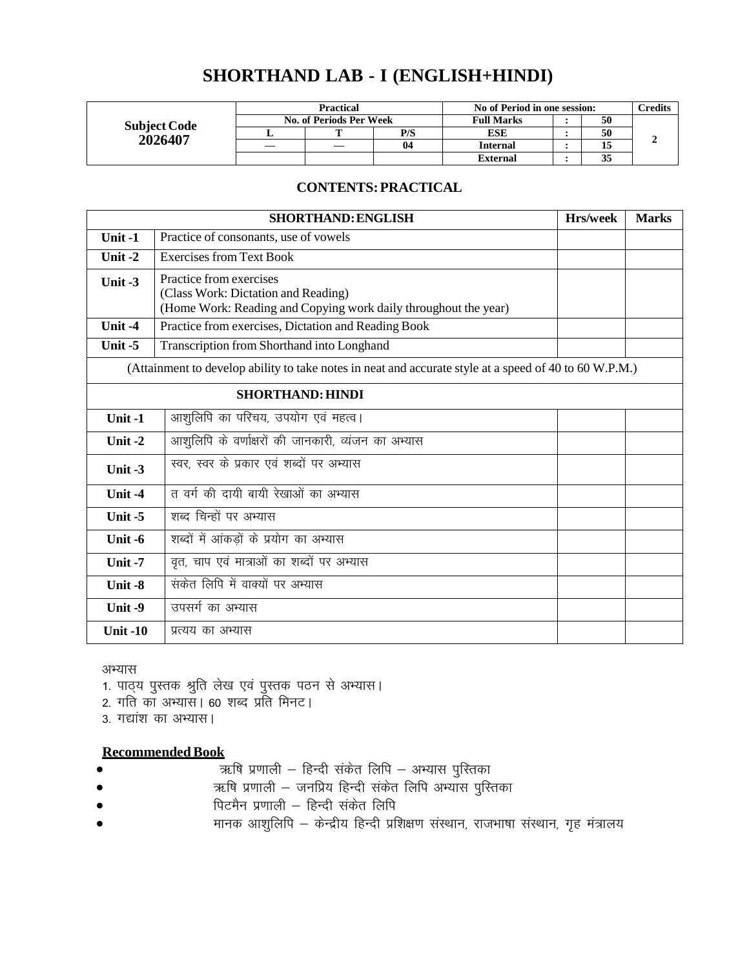# **SHORTHAND LAB - I (ENGLISH+HINDI)**

|                     | <b>Practical</b>                             |  |                | No of Period in one session: | $\gamma$ redits |  |
|---------------------|----------------------------------------------|--|----------------|------------------------------|-----------------|--|
| <b>Subject Code</b> | No. of Periods Per Week<br><b>Full Marks</b> |  |                | 50                           |                 |  |
| 2026407             |                                              |  | P/S            | ESE                          | 50              |  |
|                     |                                              |  | 0 <sub>4</sub> | <b>Internal</b>              |                 |  |
|                     |                                              |  |                | External                     | 35              |  |

### **CONTENTS:PRACTICAL**

|            | <b>SHORTHAND: ENGLISH</b>                                                                                                         | Hrs/week | <b>Marks</b> |
|------------|-----------------------------------------------------------------------------------------------------------------------------------|----------|--------------|
| Unit-1     | Practice of consonants, use of vowels                                                                                             |          |              |
| Unit $-2$  | <b>Exercises from Text Book</b>                                                                                                   |          |              |
| Unit -3    | Practice from exercises<br>(Class Work: Dictation and Reading)<br>(Home Work: Reading and Copying work daily throughout the year) |          |              |
| Unit $-4$  | Practice from exercises, Dictation and Reading Book                                                                               |          |              |
| Unit-5     | Transcription from Shorthand into Longhand                                                                                        |          |              |
|            | (Attainment to develop ability to take notes in neat and accurate style at a speed of 40 to 60 W.P.M.)                            |          |              |
|            | <b>SHORTHAND: HINDI</b>                                                                                                           |          |              |
| Unit-1     | आशुलिपि का परिचय, उपयोग एवं महत्व।                                                                                                |          |              |
| Unit $-2$  | आशुलिपि के वर्णाक्षरों की जानकारी, व्यंजन का अभ्यास                                                                               |          |              |
| Unit $-3$  | स्वर, स्वर के प्रकार एवं शब्दों पर अभ्यास                                                                                         |          |              |
| Unit -4    | त वर्ग की दायी बायी रेखाओं का अभ्यास                                                                                              |          |              |
| Unit -5    | शब्द चिन्हों पर अभ्यास                                                                                                            |          |              |
| Unit $-6$  | शब्दों में आंकड़ों के प्रयोग का अभ्यास                                                                                            |          |              |
| Unit-7     | वृत, चाप एवं मात्राओं का शब्दों पर अभ्यास                                                                                         |          |              |
| Unit -8    | सकेत लिपि में वाक्यों पर अभ्यास                                                                                                   |          |              |
| Unit $-9$  | उपसर्ग का अभ्यास                                                                                                                  |          |              |
| Unit $-10$ | प्रत्यय का अभ्यास                                                                                                                 |          |              |

#### अभ्यास

- 1. पाठ्य पुस्तक श्रुति लेख एवं पुस्तक पठन से अभ्यास।
- 2. गति का अभ्यास। 60 शब्द प्रति मिनट।
- 3. गद्यांश का अभ्यास।

- \_f"k iz.kkyh & fgUnh l adsr fyfi & vH;kl iqfLrdk
- $\bullet$   $\qquad \qquad$   $\qquad$   $\qquad$   $\qquad$   $\qquad$   $\qquad$   $\qquad$   $\qquad$   $\qquad$   $\qquad$   $\qquad$   $\qquad$   $\qquad$   $\qquad$   $\qquad$   $\qquad$   $\qquad$   $\qquad$   $\qquad$   $\qquad$   $\qquad$   $\qquad$   $\qquad$   $\qquad$   $\qquad$   $\qquad$   $\qquad$   $\qquad$   $\qquad$   $\qquad$   $\qquad$   $\qquad$   $\qquad$   $\qquad$   $\qquad$   $\$
- पिटमैन प्रणाली हिन्दी संकेत लिपि
- मानक आशुलिपि केन्द्रीय हिन्दी प्रशिक्षण संस्थान, राजभाषा संस्थान, गृह मंत्रालय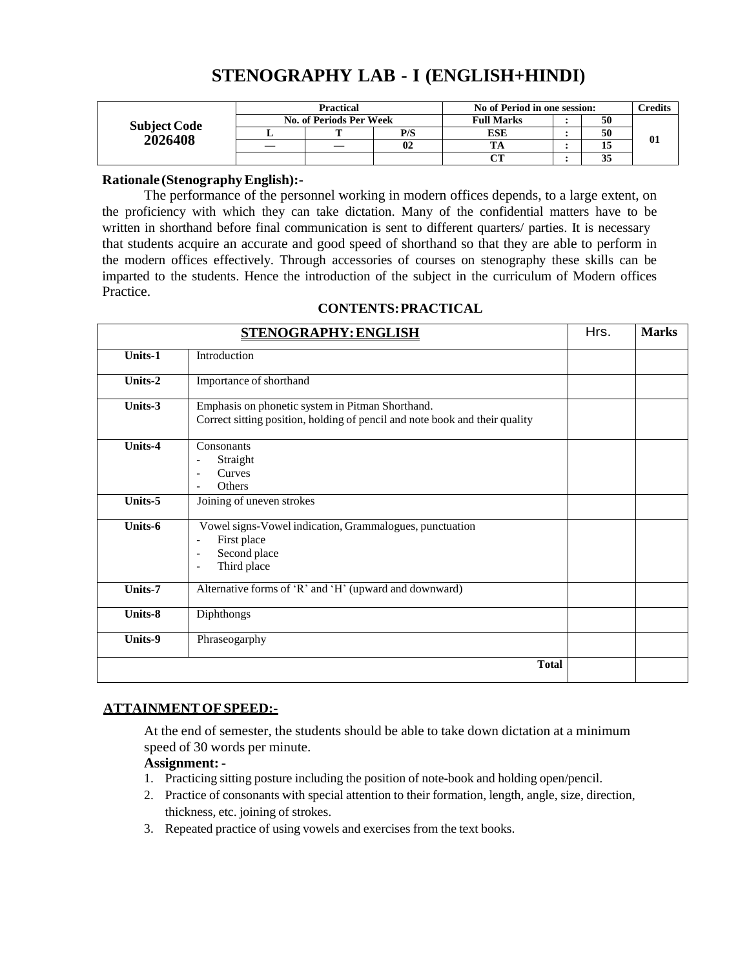## **STENOGRAPHY LAB - I (ENGLISH+HINDI)**

|                     | Practical               |   |     | No of Period in one session: |  |    | <b>Tredits</b> |
|---------------------|-------------------------|---|-----|------------------------------|--|----|----------------|
| <b>Subject Code</b> | No. of Periods Per Week |   |     | <b>Full Marks</b>            |  | 50 |                |
| 2026408             |                         | m | P/S | ESE                          |  | 50 |                |
|                     |                         |   | 02  |                              |  |    | vı             |
|                     |                         |   |     |                              |  | 33 |                |

#### **Rationale (StenographyEnglish):-**

The performance of the personnel working in modern offices depends, to a large extent, on the proficiency with which they can take dictation. Many of the confidential matters have to be written in shorthand before final communication is sent to different quarters/ parties. It is necessary that students acquire an accurate and good speed of shorthand so that they are able to perform in the modern offices effectively. Through accessories of courses on stenography these skills can be imparted to the students. Hence the introduction of the subject in the curriculum of Modern offices Practice.

|                | <b>STENOGRAPHY: ENGLISH</b>                                                                                                                                                     | Hrs. | <b>Marks</b> |
|----------------|---------------------------------------------------------------------------------------------------------------------------------------------------------------------------------|------|--------------|
| <b>Units-1</b> | Introduction                                                                                                                                                                    |      |              |
| Units-2        | Importance of shorthand                                                                                                                                                         |      |              |
| Units-3        | Emphasis on phonetic system in Pitman Shorthand.<br>Correct sitting position, holding of pencil and note book and their quality                                                 |      |              |
| Units-4        | Consonants<br>Straight<br>$\overline{\phantom{a}}$<br>Curves<br>Others                                                                                                          |      |              |
| Units-5        | Joining of uneven strokes                                                                                                                                                       |      |              |
| Units-6        | Vowel signs-Vowel indication, Grammalogues, punctuation<br>First place<br>$\blacksquare$<br>Second place<br>$\overline{\phantom{a}}$<br>Third place<br>$\overline{\phantom{a}}$ |      |              |
| <b>Units-7</b> | Alternative forms of 'R' and 'H' (upward and downward)                                                                                                                          |      |              |
| Units-8        | Diphthongs                                                                                                                                                                      |      |              |
| Units-9        | Phraseogarphy                                                                                                                                                                   |      |              |
|                | <b>Total</b>                                                                                                                                                                    |      |              |

#### **CONTENTS:PRACTICAL**

#### **ATTAINMENTOFSPEED:-**

At the end of semester, the students should be able to take down dictation at a minimum speed of 30 words per minute.

#### **Assignment: -**

- 1. Practicing sitting posture including the position of note-book and holding open/pencil.
- 2. Practice of consonants with special attention to their formation, length, angle, size, direction, thickness, etc. joining of strokes.
- 3. Repeated practice of using vowels and exercises from the text books.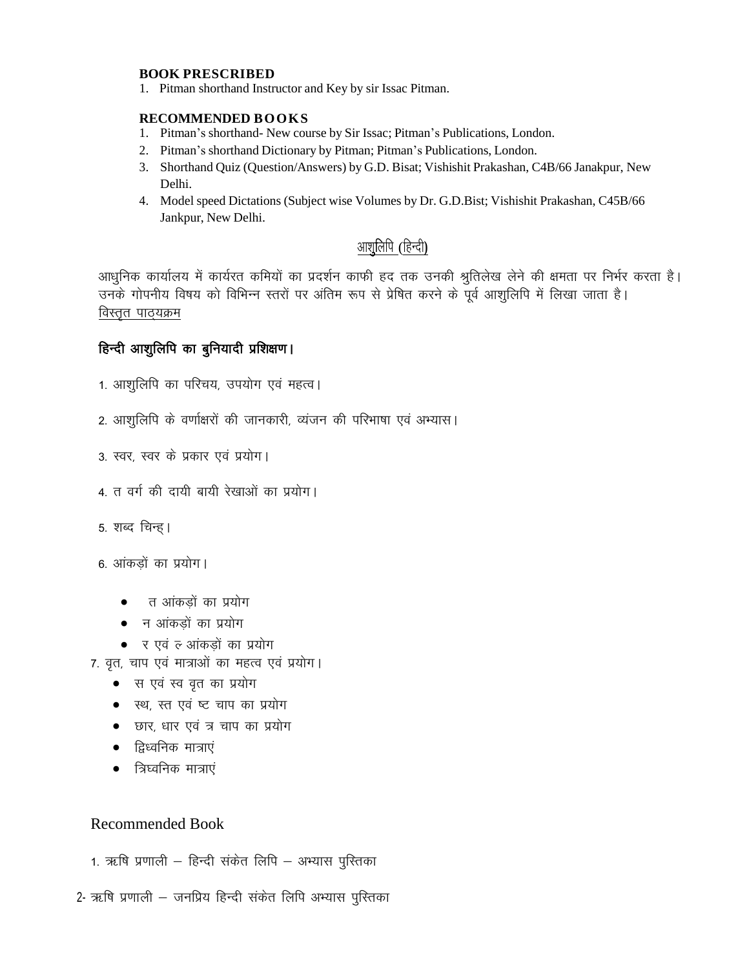#### **BOOK PRESCRIBED**

1. Pitman shorthand Instructor and Key by sir Issac Pitman.

#### **RECOMMENDED BOOKS**

- 1. Pitman's shorthand- New course by Sir Issac; Pitman's Publications, London.
- 2. Pitman's shorthand Dictionary by Pitman; Pitman's Publications, London.
- 3. Shorthand Quiz (Question/Answers) by G.D. Bisat; Vishishit Prakashan, C4B/66 Janakpur, New Delhi.
- 4. Model speed Dictations (Subject wise Volumes by Dr. G.D.Bist; Vishishit Prakashan, C45B/66 Jankpur, New Delhi.

## आशुलिपि (हिन्दी)

आधुनिक कार्यालय में कार्यरत कमियों का प्रदर्शन काफी हद तक उनकी श्रुतिलेख लेने की क्षमता पर निर्भर करता है। उनके गोपनीय विषय को विभिन्न स्तरों पर अंतिम रूप से प्रेषित करने के पूर्व आशुलिपि में लिखा जाता है। विस्तृत पाठ्यक्रम

## हिन्दी आशुलिपि का बुनियादी प्रशिक्षण।

- 1. आशुलिपि का परिचय, उपयोग एवं महत्व।
- 2. आशुलिपि के वर्णाक्षरों की जानकारी, व्यंजन की परिभाषा एवं अभ्यास।
- 3. स्वर, स्वर के प्रकार एवं प्रयोग।
- 4. त वर्ग की दायी बायी रेखाओं का प्रयोग।
- 5. शब्द चिन्ह।
- 6. आंकड़ों का प्रयोग।
	- $\bullet$  and a strib in the interval in the set of the interval  $\bullet$  or an interval in the set of the interval in the interval in the set of the interval in the set of the set of the set of the set of the set of the set of t
	- $\bullet$  न आंकड़ों का प्रयोग
	- र एवं ल आंकड़ों का प्रयोग
- 7. वृत, चाप एवं मात्राओं का महत्व एवं प्रयोग।
	- स एवं स्व वृत का प्रयोग
	- स्थ, स्त एवं ष्ट चाप का प्रयोग
	- छार, धार एवं त्र चाप का प्रयोग
	- $\bullet$  ट्विध्वनिक मात्राएं
	- $\bullet$  = त्रिघ्वनिक मात्राएं

- 1. ऋषि प्रणाली हिन्दी संकेत लिपि अभ्यास पुस्तिका
- 2- ऋषि प्रणाली जनप्रिय हिन्दी संकेत लिपि अभ्यास पुस्तिका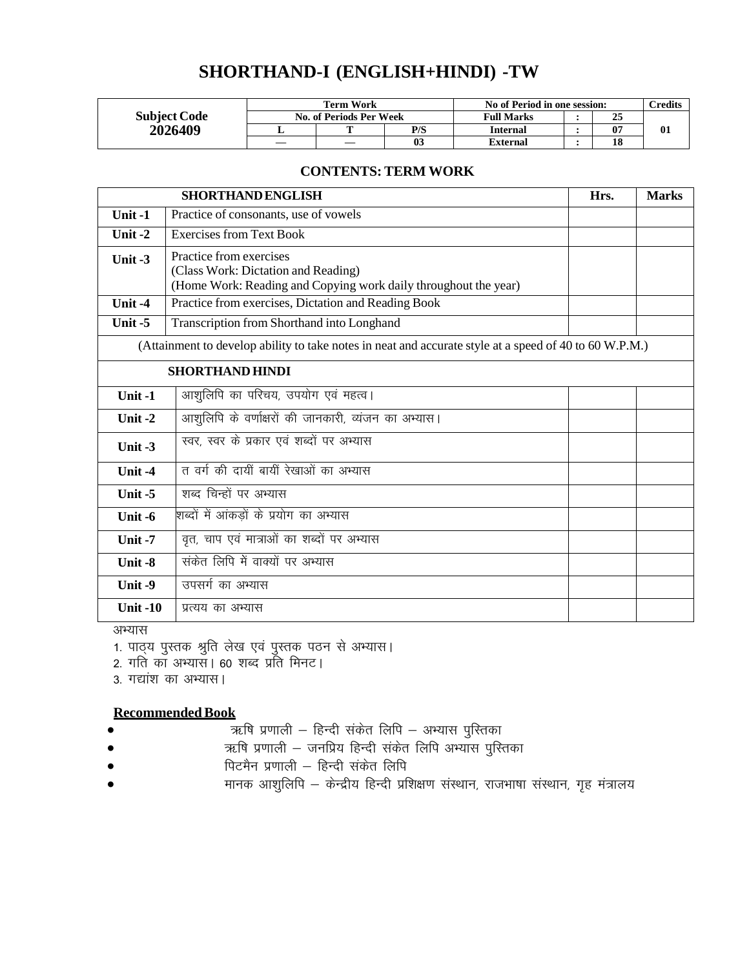## **SHORTHAND-I (ENGLISH+HINDI) -TW**

|                     | Term Work               |  |                | No of Period in one session: |  |    | $T$ redits |
|---------------------|-------------------------|--|----------------|------------------------------|--|----|------------|
| <b>Subject Code</b> | No. of Periods Per Week |  |                | <b>Full Marks</b>            |  | 25 |            |
| 2026409             |                         |  | P/S            | <b>Internal</b>              |  | 07 | 01         |
|                     |                         |  | 0 <sup>3</sup> | External                     |  | 18 |            |

### **CONTENTS: TERM WORK**

|                 | <b>SHORTHAND ENGLISH</b>                                                                                                          | Hrs. | <b>Marks</b> |
|-----------------|-----------------------------------------------------------------------------------------------------------------------------------|------|--------------|
| Unit $-1$       | Practice of consonants, use of vowels                                                                                             |      |              |
| Unit-2          | <b>Exercises from Text Book</b>                                                                                                   |      |              |
| Unit $-3$       | Practice from exercises<br>(Class Work: Dictation and Reading)<br>(Home Work: Reading and Copying work daily throughout the year) |      |              |
| Unit-4          | Practice from exercises, Dictation and Reading Book                                                                               |      |              |
| Unit-5          | Transcription from Shorthand into Longhand                                                                                        |      |              |
|                 | (Attainment to develop ability to take notes in neat and accurate style at a speed of 40 to 60 W.P.M.)                            |      |              |
|                 | <b>SHORTHAND HINDI</b>                                                                                                            |      |              |
| Unit-1          | आशुलिपि का परिचय, उपयोग एवं महत्व।                                                                                                |      |              |
| Unit $-2$       | आशुलिपि के वर्णाक्षरों की जानकारी, व्यंजन का अभ्यास।                                                                              |      |              |
| Unit $-3$       | स्वर, स्वर के प्रकार एवं शब्दों पर अभ्यास                                                                                         |      |              |
| Unit $-4$       | त वर्ग की दायीं बायीं रेखाओं का अभ्यास                                                                                            |      |              |
| Unit $-5$       | शब्द चिन्हों पर अभ्यास                                                                                                            |      |              |
| Unit -6         | शब्दों में आंकडों के प्रयोग का अभ्यास                                                                                             |      |              |
| Unit $-7$       | वृत, चाप एवं मात्राओं का शब्दों पर अभ्यास                                                                                         |      |              |
| Unit -8         | सकेत लिपि में वाक्यों पर अभ्यास                                                                                                   |      |              |
| Unit -9         | उपसर्ग का अभ्यास                                                                                                                  |      |              |
| <b>Unit -10</b> | प्रत्यय का अभ्यास                                                                                                                 |      |              |

अभ्यास

1. पाठ्य पुस्तक श्रुति लेख एवं पुस्तक पठन से अभ्यास।

2. गति का अभ्यास। 60 शब्द प्रति मिनट।

3. गद्यांश का अभ्यास।

- \_f"k iz.kkyh & fgUnh l adsr fyfi & vH;kl iqfLrdk
- ऋषि प्रणाली जनप्रिय हिन्दी संकेत लिपि अभ्यास पुस्तिका
- पिटमैन प्रणाली हिन्दी संकेत लिपि
- $\bullet$   $\qquad \qquad$  मानक आशुलिपि  $\!$  केन्द्रीय हिन्दी प्रशिक्षण संस्थान, राजभाषा संस्थान, गृह मंत्रालय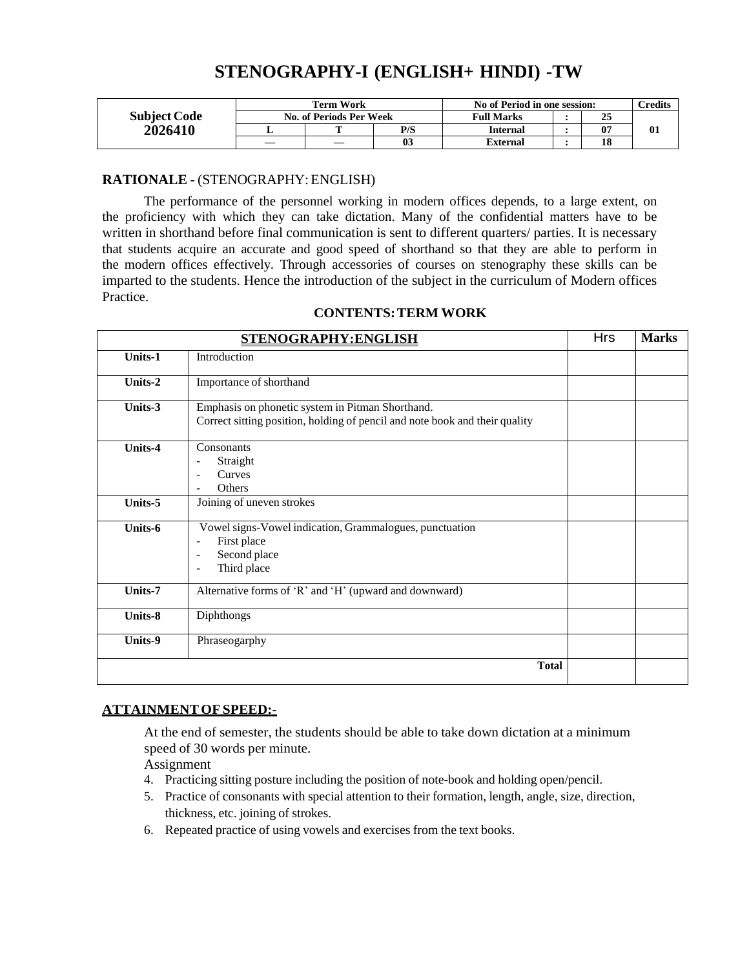## **STENOGRAPHY-I (ENGLISH+ HINDI) -TW**

|                     | <b>Term Work</b>        |   |     | No of Period in one session: |  |    | $C$ redits |
|---------------------|-------------------------|---|-----|------------------------------|--|----|------------|
| <b>Subject Code</b> | No. of Periods Per Week |   |     | <b>Full Marks</b>            |  | 25 |            |
| 2026410             |                         | m | P/S | Internal                     |  | 07 |            |
|                     |                         |   |     | External                     |  | 18 |            |

#### **RATIONALE** - (STENOGRAPHY:ENGLISH)

The performance of the personnel working in modern offices depends, to a large extent, on the proficiency with which they can take dictation. Many of the confidential matters have to be written in shorthand before final communication is sent to different quarters/ parties. It is necessary that students acquire an accurate and good speed of shorthand so that they are able to perform in the modern offices effectively. Through accessories of courses on stenography these skills can be imparted to the students. Hence the introduction of the subject in the curriculum of Modern offices Practice.

|         | STENOGRAPHY:ENGLISH                                                                                                                                 |  |  |  |
|---------|-----------------------------------------------------------------------------------------------------------------------------------------------------|--|--|--|
| Units-1 | Introduction                                                                                                                                        |  |  |  |
| Units-2 | Importance of shorthand                                                                                                                             |  |  |  |
| Units-3 | Emphasis on phonetic system in Pitman Shorthand.<br>Correct sitting position, holding of pencil and note book and their quality                     |  |  |  |
| Units-4 | Consonants<br>Straight<br>$\overline{a}$<br>Curves<br>$\overline{\phantom{0}}$<br>Others                                                            |  |  |  |
| Units-5 | Joining of uneven strokes                                                                                                                           |  |  |  |
| Units-6 | Vowel signs-Vowel indication, Grammalogues, punctuation<br>First place<br>$\overline{a}$<br>Second place<br>$\overline{\phantom{0}}$<br>Third place |  |  |  |
| Units-7 | Alternative forms of 'R' and 'H' (upward and downward)                                                                                              |  |  |  |
| Units-8 | Diphthongs                                                                                                                                          |  |  |  |
| Units-9 | Phraseogarphy                                                                                                                                       |  |  |  |
|         | <b>Total</b>                                                                                                                                        |  |  |  |

#### **CONTENTS:TERM WORK**

#### **ATTAINMENTOFSPEED:-**

At the end of semester, the students should be able to take down dictation at a minimum speed of 30 words per minute.

Assignment

- 4. Practicing sitting posture including the position of note-book and holding open/pencil.
- 5. Practice of consonants with special attention to their formation, length, angle, size, direction, thickness, etc. joining of strokes.
- 6. Repeated practice of using vowels and exercises from the text books.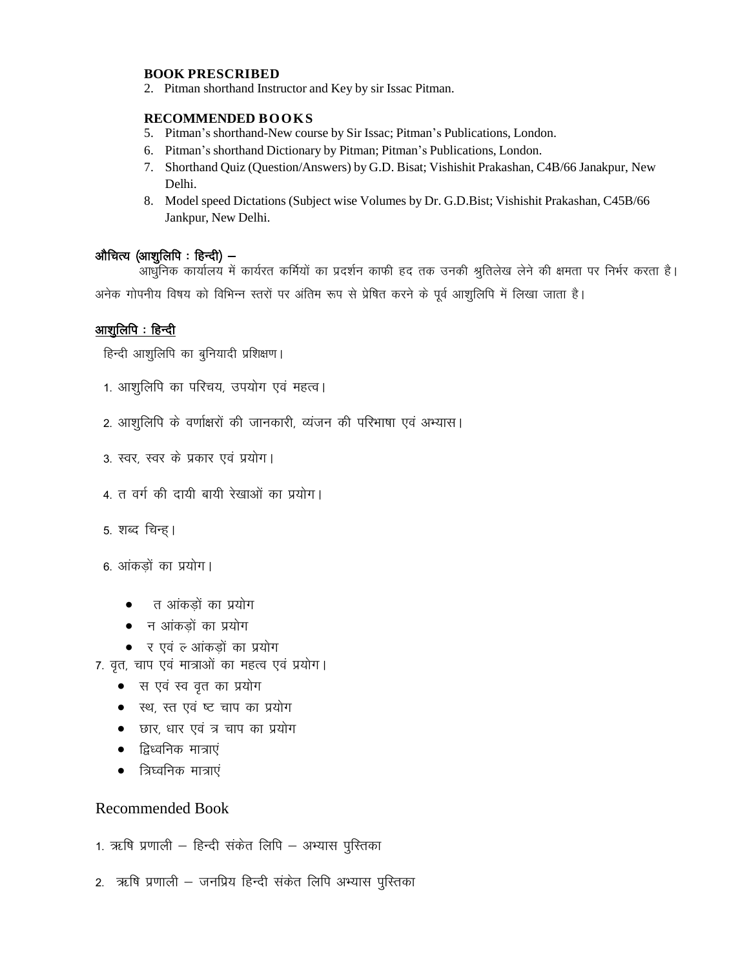#### **BOOK PRESCRIBED**

2. Pitman shorthand Instructor and Key by sir Issac Pitman.

#### **RECOMMENDED BOOKS**

- 5. Pitman's shorthand-New course by Sir Issac; Pitman's Publications, London.
- 6. Pitman's shorthand Dictionary by Pitman; Pitman's Publications, London.
- 7. Shorthand Quiz (Question/Answers) by G.D. Bisat; Vishishit Prakashan, C4B/66 Janakpur, New Delhi.
- 8. Model speed Dictations (Subject wise Volumes by Dr. G.D.Bist; Vishishit Prakashan, C45B/66 Jankpur, New Delhi.

#### औचित्य $\left( \text{w} \right)$  (आशुलिपि : हिन्दी)  $-$

.<br>आधुनिक कार्यालय में कार्यरत कर्मियों का प्रदर्शन काफी हद तक उनकी श्रुतिलेख लेने की क्षमता पर निर्भर करता है। अनेक गोपनीय विषय को विभिन्न स्तरों पर अंतिम रूप से प्रेषित करने के पूर्व आशुलिपि में लिखा जाता है।

#### आशूलिपि : हिन्दी

हिन्दी आशुलिपि का बुनियादी प्रशिक्षण।

- 1. आशुलिपि का परिचय, उपयोग एवं महत्व।
- 2. आशुलिपि के वर्णाक्षरों की जानकारी, व्यंजन की परिभाषा एवं अभ्यास।
- 3. स्वर, स्वर के प्रकार एवं प्रयोग।
- 4. त वर्ग की दायी बायी रेखाओं का प्रयोग।
- 5. शब्द चिन्ह।

6. आंकडों का प्रयोग।

- न आंकडों का प्रयोग
- $\bullet$  न आंकड़ों का प्रयोग
- र एवं ल आंकड़ों का प्रयोग
- 7. वृत, चाप एवं मात्राओं का महत्व एवं प्रयोग।
	- स एवं स्व वृत का प्रयोग
	- स्थ, स्त एवं ष्ट चाप का प्रयोग
	- छार, धार एवं त्र चाप का प्रयोग
	- $\bullet$  द्विध्वनिक मात्राएं
	- $\bullet$  = त्रिघ्वनिक मात्राएं

- 1. ऋषि प्रणाली हिन्दी संकेत लिपि अभ्यास पुस्तिका
- 2. ऋषि प्रणाली जनप्रिय हिन्दी संकेत लिपि अभ्यास पुस्तिका